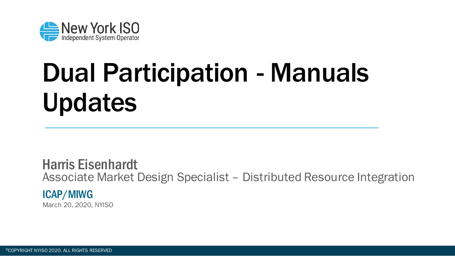

## Dual Participation - Manuals Updates

Harris Eisenhardt Associate Market Design Specialist – Distributed Resource Integration ICAP/MIWG March 20, 2020, NYISO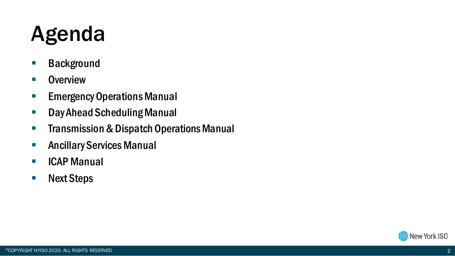## Agenda

- **Background**
- **D**verview
- **Emergency Operations Manual**
- **-** Day Ahead Scheduling Manual
- **Transmission & Dispatch Operations Manual**
- **-** Ancillary Services Manual
- **ICAP Manual**
- Next Steps

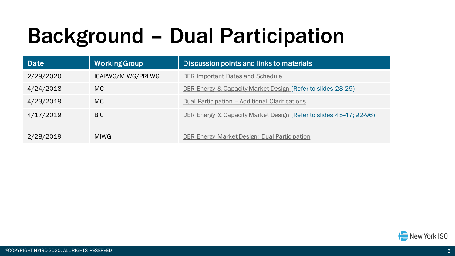## Background – Dual Participation

| <b>Date</b> | <b>Working Group</b> | Discussion points and links to materials                           |
|-------------|----------------------|--------------------------------------------------------------------|
| 2/29/2020   | ICAPWG/MIWG/PRLWG    | DER Important Dates and Schedule                                   |
| 4/24/2018   | MC.                  | DER Energy & Capacity Market Design (Refer to slides 28-29)        |
| 4/23/2019   | MC.                  | Dual Participation - Additional Clarifications                     |
| 4/17/2019   | <b>BIC</b>           | DER Energy & Capacity Market Design (Refer to slides 45-47; 92-96) |
| 2/28/2019   | <b>MIWG</b>          | DER Energy Market Design: Dual Participation                       |

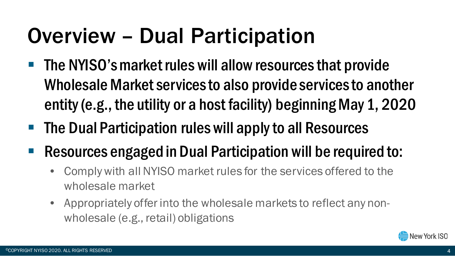## Overview – Dual Participation

- **The NYISO's market rules will allow resources that provide** Wholesale Market services to also provide services to another entity (e.g., the utility or a host facility) beginning May 1, 2020
- The Dual Participation rules will apply to all Resources
- Resources engaged in Dual Participation will be required to:
	- Comply with all NYISO market rules for the services offered to the wholesale market
	- Appropriately offer into the wholesale markets to reflect any nonwholesale (e.g., retail) obligations

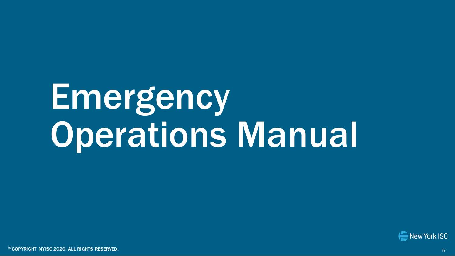# **Emergency Operations Manual**

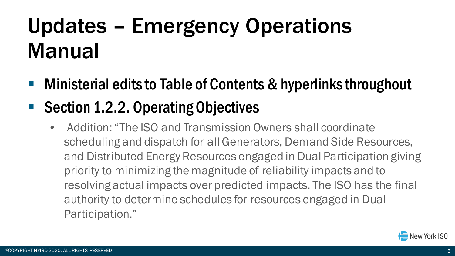## Updates – Emergency Operations Manual

- Ministerial edits to Table of Contents & hyperlinks throughout
- Section 1.2.2. Operating Objectives
	- Addition: "The ISO and Transmission Owners shall coordinate scheduling and dispatch for all Generators, Demand Side Resources, and Distributed Energy Resources engaged in Dual Participation giving priority to minimizing the magnitude of reliability impacts and to resolving actual impacts over predicted impacts. The ISO has the final authority to determine schedules for resources engaged in Dual Participation."

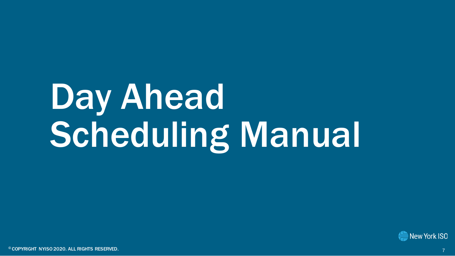# Day Ahead Scheduling Manual

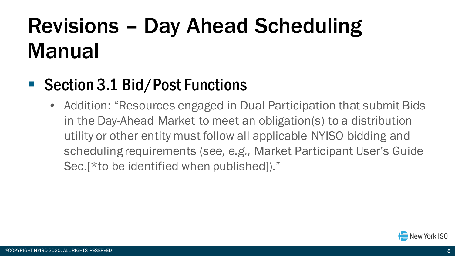## Revisions – Day Ahead Scheduling Manual

#### ■ Section 3.1 Bid/Post Functions

• Addition: "Resources engaged in Dual Participation that submit Bids in the Day-Ahead Market to meet an obligation(s) to a distribution utility or other entity must follow all applicable NYISO bidding and scheduling requirements (*see, e.g.,* Market Participant User's Guide Sec.[\*to be identified when published])."

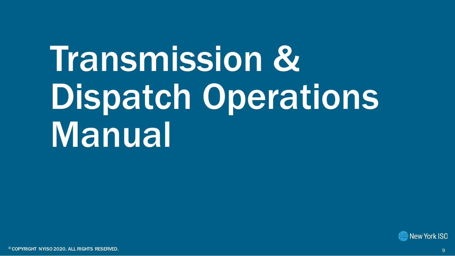# Transmission & Dispatch Operations Manual

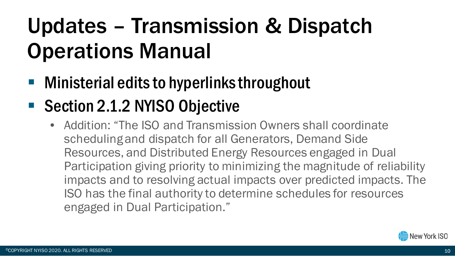- Ministerial edits to hyperlinks throughout
- Section 2.1.2 NYISO Objective
	- Addition: "The ISO and Transmission Owners shall coordinate scheduling and dispatch for all Generators, Demand Side Resources, and Distributed Energy Resources engaged in Dual Participation giving priority to minimizing the magnitude of reliability impacts and to resolving actual impacts over predicted impacts. The ISO has the final authority to determine schedules for resources engaged in Dual Participation."

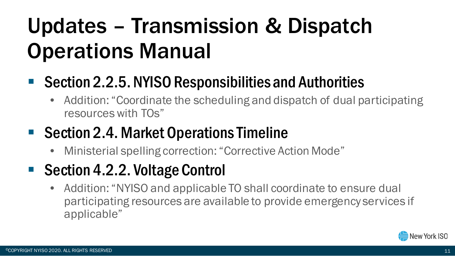#### ■ Section 2.2.5. NYISO Responsibilities and Authorities

• Addition: "Coordinate the scheduling and dispatch of dual participating resources with TOs"

#### ■ Section 2.4. Market Operations Timeline

• Ministerial spelling correction: "Corrective Action Mode"

#### ■ Section 4.2.2. Voltage Control

• Addition: "NYISO and applicable TO shall coordinate to ensure dual participating resources are available to provide emergency services if applicable"

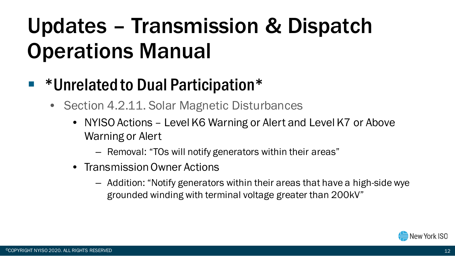- \*Unrelated to Dual Participation\*
	- Section 4.2.11. Solar Magnetic Disturbances
		- NYISO Actions Level K6 Warning or Alert and Level K7 or Above Warning or Alert
			- Removal: "TOs will notify generators within their areas"
		- Transmission Owner Actions
			- Addition: "Notify generators within their areas that have a high-side wye grounded winding with terminal voltage greater than 200kV"

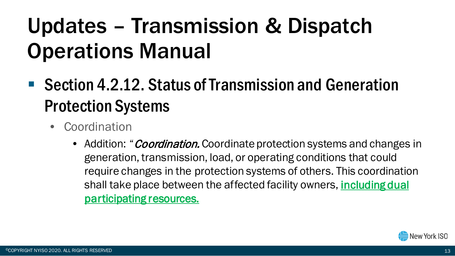- Section 4.2.12. Status of Transmission and Generation Protection Systems
	- Coordination
		- Addition: "*Coordination.* Coordinate protection systems and changes in generation, transmission, load, or operating conditions that could require changes in the protection systems of others. This coordination shall take place between the affected facility owners, including dual participating resources.

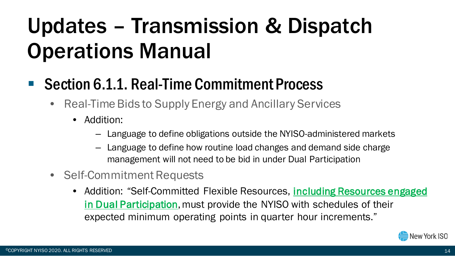- Section 6.1.1. Real-Time Commitment Process
	- Real-Time Bids to Supply Energy and Ancillary Services
		- Addition:
			- Language to define obligations outside the NYISO-administered markets
			- Language to define how routine load changes and demand side charge management will not need to be bid in under Dual Participation
	- Self-Commitment Requests
		- Addition: "Self-Committed Flexible Resources, including Resources engaged in Dual Participation, must provide the NYISO with schedules of their expected minimum operating points in quarter hour increments."

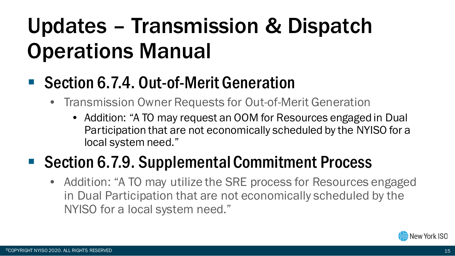#### ■ Section 6.7.4. Out-of-Merit Generation

- Transmission Owner Requests for Out-of-Merit Generation
	- Addition: "A TO may request an OOM for Resources engaged in Dual Participation that are not economically scheduled by the NYISO for a local system need."

#### ■ Section 6.7.9. Supplemental Commitment Process

• Addition: "A TO may utilize the SRE process for Resources engaged in Dual Participation that are not economically scheduled by the NYISO for a local system need."

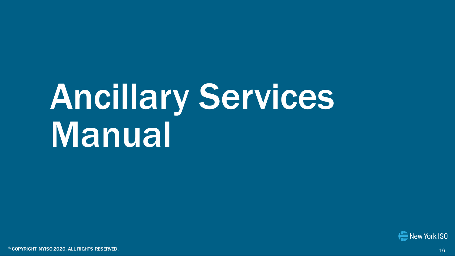# Ancillary Services **Manual**

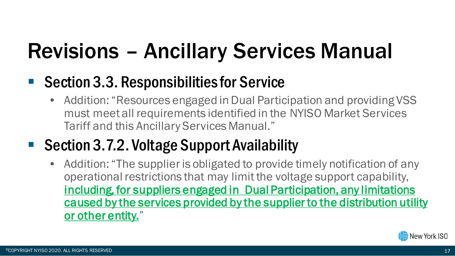## Revisions – Ancillary Services Manual

#### ■ Section 3.3. Responsibilities for Service

• Addition: "Resources engaged in Dual Participation and providing VSS must meet all requirements identified in the NYISO Market Services Tariff and this Ancillary Services Manual."

#### ■ Section 3.7.2. Voltage Support Availability

• Addition: "The supplier is obligated to provide timely notification of any operational restrictions that may limit the voltage support capability, including, for suppliers engaged in Dual Participation, any limitations caused by the services provided by the supplier to the distribution utility or other entity."

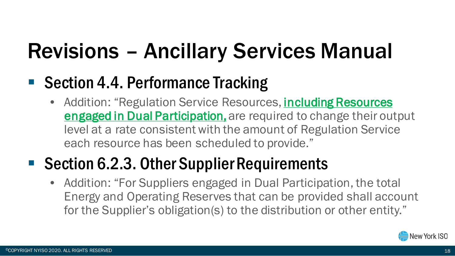### Revisions – Ancillary Services Manual

#### ■ Section 4.4. Performance Tracking

• Addition: "Regulation Service Resources, *including Resources* engaged in Dual Participation, are required to change their output level at a rate consistent with the amount of Regulation Service each resource has been scheduled to provide."

#### ■ Section 6.2.3. Other Supplier Requirements

• Addition: "For Suppliers engaged in Dual Participation, the total Energy and Operating Reserves that can be provided shall account for the Supplier's obligation(s) to the distribution or other entity."

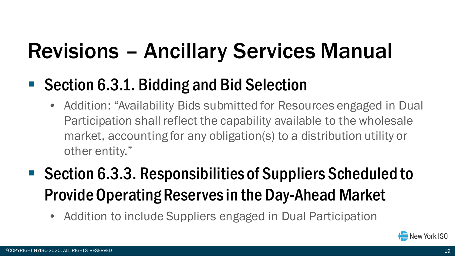## Revisions – Ancillary Services Manual

#### ■ Section 6.3.1. Bidding and Bid Selection

• Addition: "Availability Bids submitted for Resources engaged in Dual Participation shall reflect the capability available to the wholesale market, accounting for any obligation(s) to a distribution utility or other entity."

### ■ Section 6.3.3. Responsibilities of Suppliers Scheduled to Provide Operating Reserves in the Day-Ahead Market

• Addition to include Suppliers engaged in Dual Participation

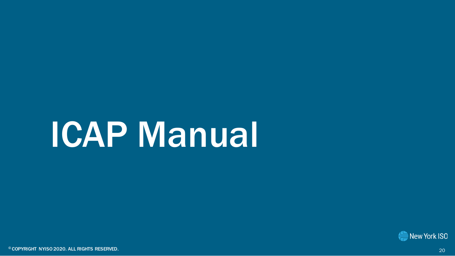# ICAP Manual

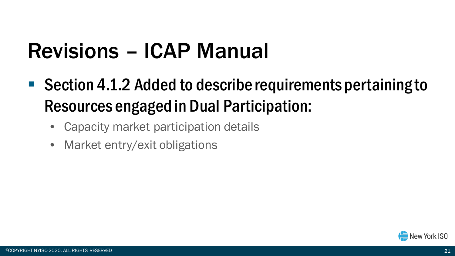### Revisions – ICAP Manual

- Section 4.1.2 Added to describe requirements pertaining to Resources engaged in Dual Participation:
	- Capacity market participation details
	- Market entry/exit obligations

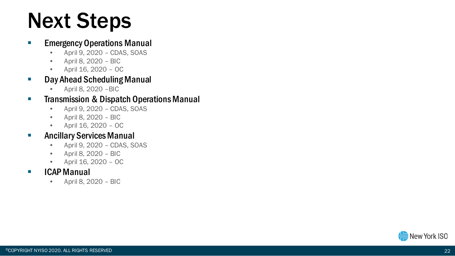### Next Steps

#### **Emergency Operations Manual**

- April 9, 2020 CDAS, SOAS
- April 8, 2020 BIC
- April 16, 2020 OC

#### ■ Day Ahead Scheduling Manual

• April 8, 2020 –BIC

#### **Transmission & Dispatch Operations Manual**

- April 9, 2020 CDAS, SOAS
- April 8, 2020 BIC
- April 16, 2020 OC

#### **Ancillary Services Manual**

- April 9, 2020 CDAS, SOAS
- April 8, 2020 BIC
- April 16, 2020 OC

#### **ICAP Manual**

• April 8, 2020 – BIC

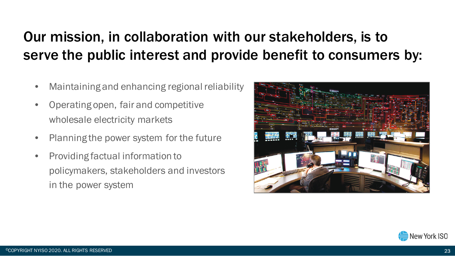#### Our mission, in collaboration with our stakeholders, is to serve the public interest and provide benefit to consumers by:

- Maintaining and enhancing regional reliability
- Operating open, fair and competitive wholesale electricity markets
- Planning the power system for the future
- Providing factual information to policymakers, stakeholders and investors in the power system